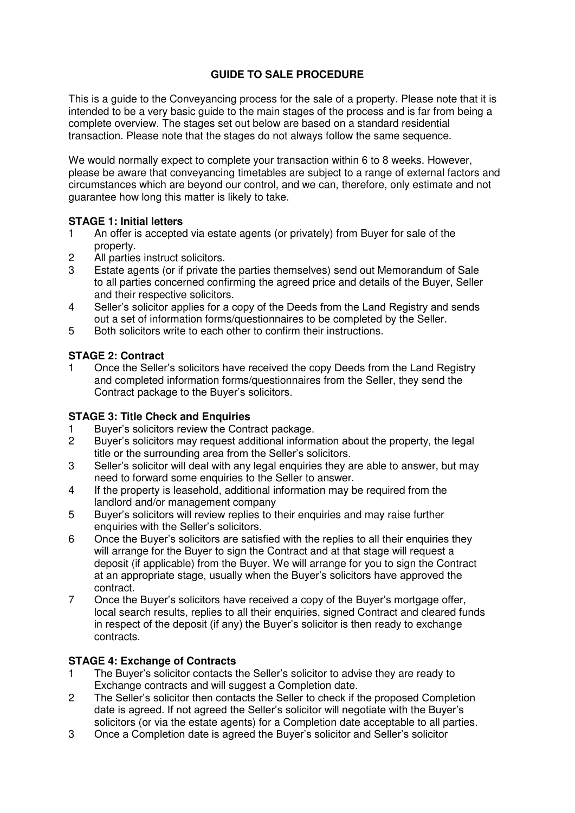# **GUIDE TO SALE PROCEDURE**

This is a guide to the Conveyancing process for the sale of a property. Please note that it is intended to be a very basic guide to the main stages of the process and is far from being a complete overview. The stages set out below are based on a standard residential transaction. Please note that the stages do not always follow the same sequence.

We would normally expect to complete your transaction within 6 to 8 weeks. However, please be aware that conveyancing timetables are subject to a range of external factors and circumstances which are beyond our control, and we can, therefore, only estimate and not guarantee how long this matter is likely to take.

### **STAGE 1: Initial letters**

- 1 An offer is accepted via estate agents (or privately) from Buyer for sale of the property.
- 2 All parties instruct solicitors.
- 3 Estate agents (or if private the parties themselves) send out Memorandum of Sale to all parties concerned confirming the agreed price and details of the Buyer, Seller and their respective solicitors.
- 4 Seller's solicitor applies for a copy of the Deeds from the Land Registry and sends out a set of information forms/questionnaires to be completed by the Seller.
- 5 Both solicitors write to each other to confirm their instructions.

#### **STAGE 2: Contract**

1 Once the Seller's solicitors have received the copy Deeds from the Land Registry and completed information forms/questionnaires from the Seller, they send the Contract package to the Buyer's solicitors.

### **STAGE 3: Title Check and Enquiries**

- 1 Buyer's solicitors review the Contract package.<br>2 Buyer's solicitors may request additional inform
- Buyer's solicitors may request additional information about the property, the legal title or the surrounding area from the Seller's solicitors.
- 3 Seller's solicitor will deal with any legal enquiries they are able to answer, but may need to forward some enquiries to the Seller to answer.
- 4 If the property is leasehold, additional information may be required from the landlord and/or management company
- 5 Buyer's solicitors will review replies to their enquiries and may raise further enquiries with the Seller's solicitors.
- 6 Once the Buyer's solicitors are satisfied with the replies to all their enquiries they will arrange for the Buyer to sign the Contract and at that stage will request a deposit (if applicable) from the Buyer. We will arrange for you to sign the Contract at an appropriate stage, usually when the Buyer's solicitors have approved the contract.
- 7 Once the Buyer's solicitors have received a copy of the Buyer's mortgage offer, local search results, replies to all their enquiries, signed Contract and cleared funds in respect of the deposit (if any) the Buyer's solicitor is then ready to exchange contracts.

#### **STAGE 4: Exchange of Contracts**

- 1 The Buyer's solicitor contacts the Seller's solicitor to advise they are ready to Exchange contracts and will suggest a Completion date.
- 2 The Seller's solicitor then contacts the Seller to check if the proposed Completion date is agreed. If not agreed the Seller's solicitor will negotiate with the Buyer's solicitors (or via the estate agents) for a Completion date acceptable to all parties.
- 3 Once a Completion date is agreed the Buyer's solicitor and Seller's solicitor